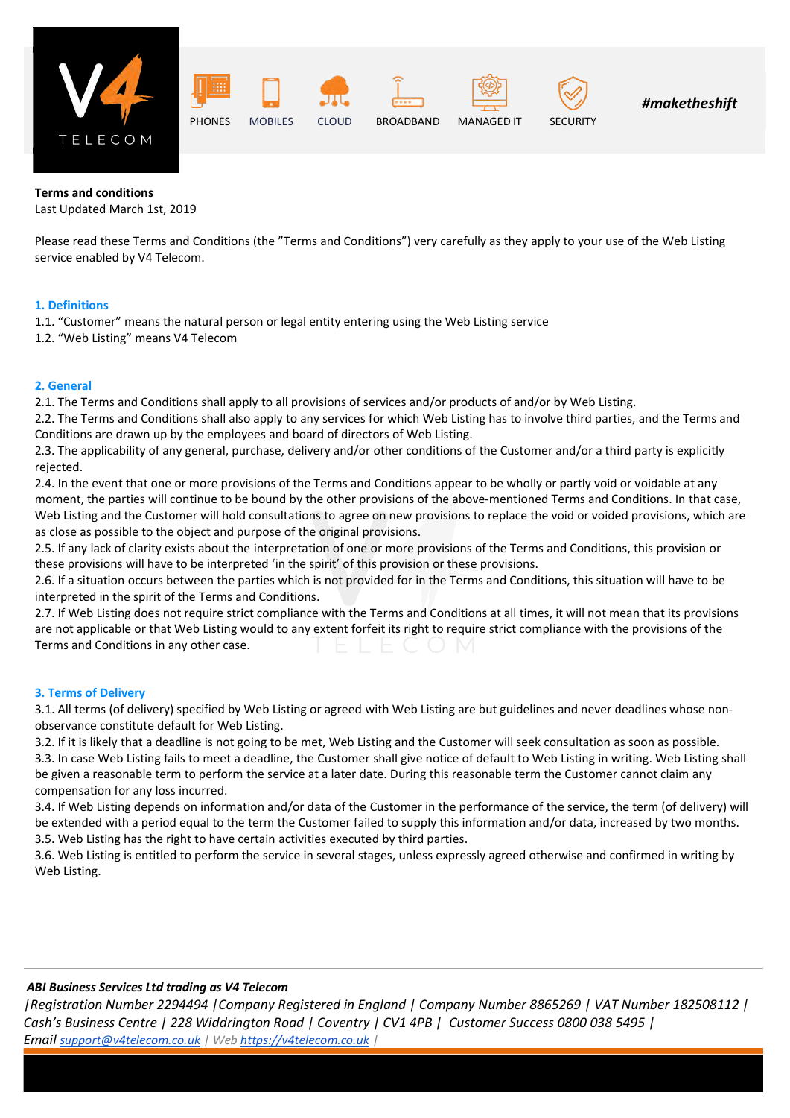











*#maketheshift*

## **Terms and conditions**

Last Updated March 1st, 2019

Please read these Terms and Conditions (the "Terms and Conditions") very carefully as they apply to your use of the Web Listing service enabled by V4 Telecom.

## **1. Definitions**

- 1.1. "Customer" means the natural person or legal entity entering using the Web Listing service
- 1.2. "Web Listing" means V4 Telecom

## **2. General**

2.1. The Terms and Conditions shall apply to all provisions of services and/or products of and/or by Web Listing.

2.2. The Terms and Conditions shall also apply to any services for which Web Listing has to involve third parties, and the Terms and Conditions are drawn up by the employees and board of directors of Web Listing.

2.3. The applicability of any general, purchase, delivery and/or other conditions of the Customer and/or a third party is explicitly rejected.

2.4. In the event that one or more provisions of the Terms and Conditions appear to be wholly or partly void or voidable at any moment, the parties will continue to be bound by the other provisions of the above-mentioned Terms and Conditions. In that case, Web Listing and the Customer will hold consultations to agree on new provisions to replace the void or voided provisions, which are as close as possible to the object and purpose of the original provisions.

2.5. If any lack of clarity exists about the interpretation of one or more provisions of the Terms and Conditions, this provision or these provisions will have to be interpreted 'in the spirit' of this provision or these provisions.

2.6. If a situation occurs between the parties which is not provided for in the Terms and Conditions, this situation will have to be interpreted in the spirit of the Terms and Conditions.

2.7. If Web Listing does not require strict compliance with the Terms and Conditions at all times, it will not mean that its provisions are not applicable or that Web Listing would to any extent forfeit its right to require strict compliance with the provisions of the Terms and Conditions in any other case.

# **3. Terms of Delivery**

3.1. All terms (of delivery) specified by Web Listing or agreed with Web Listing are but guidelines and never deadlines whose nonobservance constitute default for Web Listing.

3.2. If it is likely that a deadline is not going to be met, Web Listing and the Customer will seek consultation as soon as possible. 3.3. In case Web Listing fails to meet a deadline, the Customer shall give notice of default to Web Listing in writing. Web Listing shall be given a reasonable term to perform the service at a later date. During this reasonable term the Customer cannot claim any compensation for any loss incurred.

3.4. If Web Listing depends on information and/or data of the Customer in the performance of the service, the term (of delivery) will be extended with a period equal to the term the Customer failed to supply this information and/or data, increased by two months. 3.5. Web Listing has the right to have certain activities executed by third parties.

3.6. Web Listing is entitled to perform the service in several stages, unless expressly agreed otherwise and confirmed in writing by Web Listing.

# *ABI Business Services Ltd trading as V4 Telecom*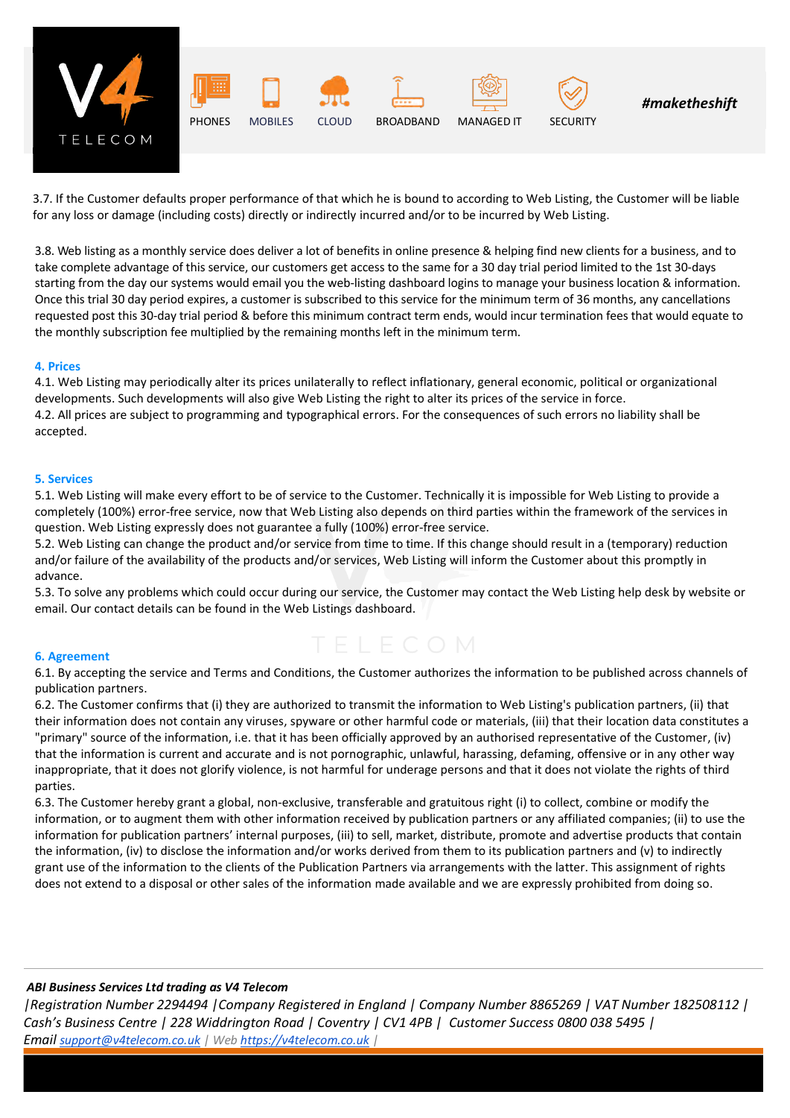

3.7. If the Customer defaults proper performance of that which he is bound to according to Web Listing, the Customer will be liable for any loss or damage (including costs) directly or indirectly incurred and/or to be incurred by Web Listing.

3.8. Web listing as a monthly service does deliver a lot of benefits in online presence & helping find new clients for a business, and to take complete advantage of this service, our customers get access to the same for a 30 day trial period limited to the 1st 30-days starting from the day our systems would email you the web-listing dashboard logins to manage your business location & information. Once this trial 30 day period expires, a customer is subscribed to this service for the minimum term of 36 months, any cancellations requested post this 30-day trial period & before this minimum contract term ends, would incur termination fees that would equate to the monthly subscription fee multiplied by the remaining months left in the minimum term.

#### **4. Prices**

4.1. Web Listing may periodically alter its prices unilaterally to reflect inflationary, general economic, political or organizational developments. Such developments will also give Web Listing the right to alter its prices of the service in force. 4.2. All prices are subject to programming and typographical errors. For the consequences of such errors no liability shall be accepted.

#### **5. Services**

5.1. Web Listing will make every effort to be of service to the Customer. Technically it is impossible for Web Listing to provide a completely (100%) error-free service, now that Web Listing also depends on third parties within the framework of the services in question. Web Listing expressly does not guarantee a fully (100%) error-free service.

5.2. Web Listing can change the product and/or service from time to time. If this change should result in a (temporary) reduction and/or failure of the availability of the products and/or services, Web Listing will inform the Customer about this promptly in advance.

5.3. To solve any problems which could occur during our service, the Customer may contact the Web Listing help desk by website or email. Our contact details can be found in the Web Listings dashboard.

### **6. Agreement**

6.1. By accepting the service and Terms and Conditions, the Customer authorizes the information to be published across channels of publication partners.

6.2. The Customer confirms that (i) they are authorized to transmit the information to Web Listing's publication partners, (ii) that their information does not contain any viruses, spyware or other harmful code or materials, (iii) that their location data constitutes a "primary" source of the information, i.e. that it has been officially approved by an authorised representative of the Customer, (iv) that the information is current and accurate and is not pornographic, unlawful, harassing, defaming, offensive or in any other way inappropriate, that it does not glorify violence, is not harmful for underage persons and that it does not violate the rights of third parties.

6.3. The Customer hereby grant a global, non-exclusive, transferable and gratuitous right (i) to collect, combine or modify the information, or to augment them with other information received by publication partners or any affiliated companies; (ii) to use the information for publication partners' internal purposes, (iii) to sell, market, distribute, promote and advertise products that contain the information, (iv) to disclose the information and/or works derived from them to its publication partners and (v) to indirectly grant use of the information to the clients of the Publication Partners via arrangements with the latter. This assignment of rights does not extend to a disposal or other sales of the information made available and we are expressly prohibited from doing so.

### *ABI Business Services Ltd trading as V4 Telecom*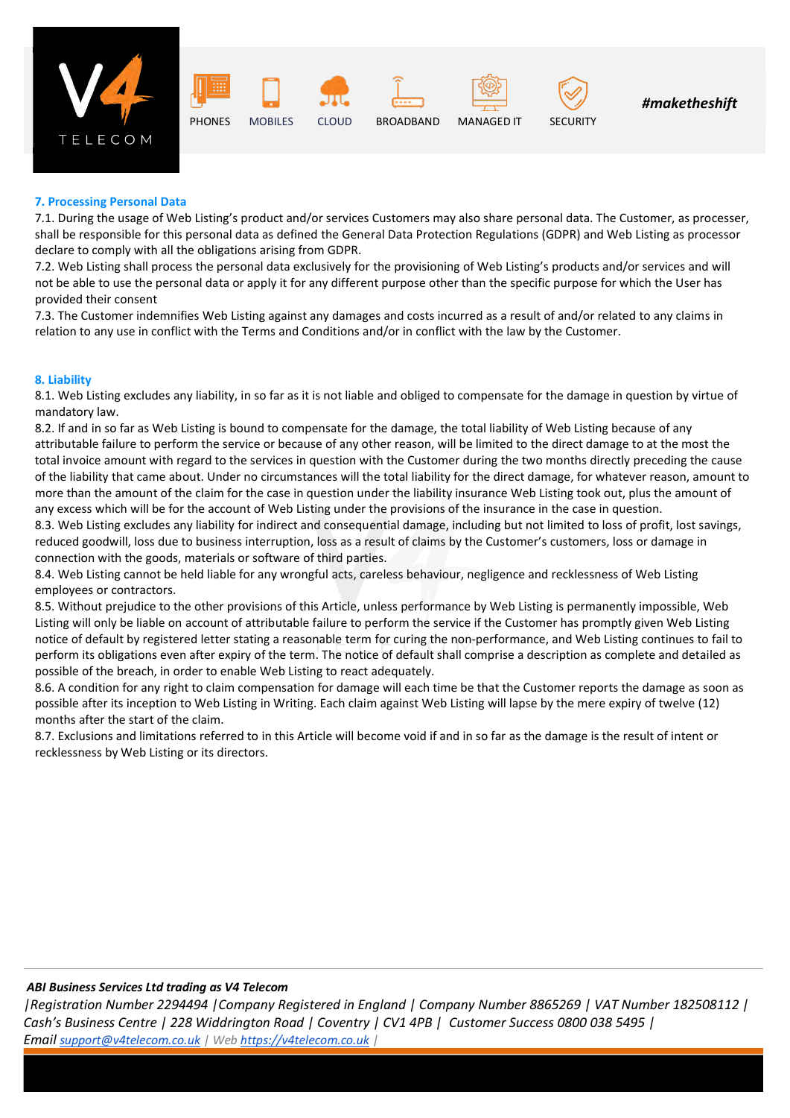









# **7. Processing Personal Data**

7.1. During the usage of Web Listing's product and/or services Customers may also share personal data. The Customer, as processer, shall be responsible for this personal data as defined the General Data Protection Regulations (GDPR) and Web Listing as processor declare to comply with all the obligations arising from GDPR.

7.2. Web Listing shall process the personal data exclusively for the provisioning of Web Listing's products and/or services and will not be able to use the personal data or apply it for any different purpose other than the specific purpose for which the User has provided their consent

7.3. The Customer indemnifies Web Listing against any damages and costs incurred as a result of and/or related to any claims in relation to any use in conflict with the Terms and Conditions and/or in conflict with the law by the Customer.

### **8. Liability**

8.1. Web Listing excludes any liability, in so far as it is not liable and obliged to compensate for the damage in question by virtue of mandatory law.

8.2. If and in so far as Web Listing is bound to compensate for the damage, the total liability of Web Listing because of any attributable failure to perform the service or because of any other reason, will be limited to the direct damage to at the most the total invoice amount with regard to the services in question with the Customer during the two months directly preceding the cause of the liability that came about. Under no circumstances will the total liability for the direct damage, for whatever reason, amount to more than the amount of the claim for the case in question under the liability insurance Web Listing took out, plus the amount of any excess which will be for the account of Web Listing under the provisions of the insurance in the case in question.

8.3. Web Listing excludes any liability for indirect and consequential damage, including but not limited to loss of profit, lost savings, reduced goodwill, loss due to business interruption, loss as a result of claims by the Customer's customers, loss or damage in connection with the goods, materials or software of third parties.

8.4. Web Listing cannot be held liable for any wrongful acts, careless behaviour, negligence and recklessness of Web Listing employees or contractors.

8.5. Without prejudice to the other provisions of this Article, unless performance by Web Listing is permanently impossible, Web Listing will only be liable on account of attributable failure to perform the service if the Customer has promptly given Web Listing notice of default by registered letter stating a reasonable term for curing the non-performance, and Web Listing continues to fail to perform its obligations even after expiry of the term. The notice of default shall comprise a description as complete and detailed as possible of the breach, in order to enable Web Listing to react adequately.

8.6. A condition for any right to claim compensation for damage will each time be that the Customer reports the damage as soon as possible after its inception to Web Listing in Writing. Each claim against Web Listing will lapse by the mere expiry of twelve (12) months after the start of the claim.

8.7. Exclusions and limitations referred to in this Article will become void if and in so far as the damage is the result of intent or recklessness by Web Listing or its directors.

### *ABI Business Services Ltd trading as V4 Telecom*